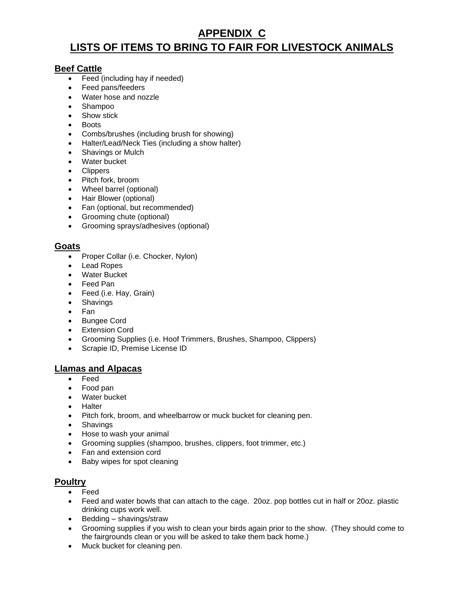# **APPENDIX C LISTS OF ITEMS TO BRING TO FAIR FOR LIVESTOCK ANIMALS**

## **Beef Cattle**

- Feed (including hay if needed)
- Feed pans/feeders
- Water hose and nozzle
- Shampoo
- Show stick
- Boots
- Combs/brushes (including brush for showing)
- Halter/Lead/Neck Ties (including a show halter)
- Shavings or Mulch
- Water bucket
- Clippers
- Pitch fork, broom
- Wheel barrel (optional)
- Hair Blower (optional)
- Fan (optional, but recommended)
- Grooming chute (optional)
- Grooming sprays/adhesives (optional)

#### **Goats**

- Proper Collar (i.e. Chocker, Nylon)
- Lead Ropes
- Water Bucket
- Feed Pan
- Feed (i.e. Hay, Grain)
- Shavings
- Fan
- Bungee Cord
- Extension Cord
- Grooming Supplies (i.e. Hoof Trimmers, Brushes, Shampoo, Clippers)
- Scrapie ID, Premise License ID

#### **Llamas and Alpacas**

- Feed
- Food pan
- Water bucket
- Halter
- Pitch fork, broom, and wheelbarrow or muck bucket for cleaning pen.
- Shavings
- Hose to wash your animal
- Grooming supplies (shampoo, brushes, clippers, foot trimmer, etc.)
- Fan and extension cord
- Baby wipes for spot cleaning

#### **Poultry**

- **Feed**
- Feed and water bowls that can attach to the cage. 20oz. pop bottles cut in half or 20oz. plastic drinking cups work well.
- Bedding shavings/straw
- Grooming supplies if you wish to clean your birds again prior to the show. (They should come to the fairgrounds clean or you will be asked to take them back home.)
- Muck bucket for cleaning pen.